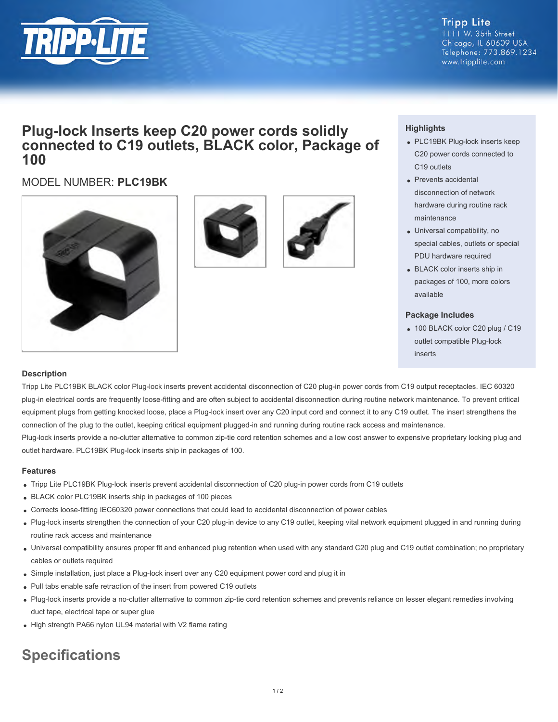

#### **Tripp Lite** 1111 W. 35th Street Chicago, IL 60609 USA Telephone: 773.869.1234 www.tripplite.com

# **Plug-lock Inserts keep C20 power cords solidly connected to C19 outlets, BLACK color, Package of 100**

# MODEL NUMBER: **PLC19BK**







## **Highlights**

- PLC19BK Plug-lock inserts keep C20 power cords connected to C19 outlets
- Prevents accidental disconnection of network hardware during routine rack maintenance
- Universal compatibility, no special cables, outlets or special PDU hardware required
- BLACK color inserts ship in packages of 100, more colors available

#### **Package Includes**

• 100 BLACK color C20 plug / C19 outlet compatible Plug-lock inserts

### **Description**

Tripp Lite PLC19BK BLACK color Plug-lock inserts prevent accidental disconnection of C20 plug-in power cords from C19 output receptacles. IEC 60320 plug-in electrical cords are frequently loose-fitting and are often subject to accidental disconnection during routine network maintenance. To prevent critical equipment plugs from getting knocked loose, place a Plug-lock insert over any C20 input cord and connect it to any C19 outlet. The insert strengthens the connection of the plug to the outlet, keeping critical equipment plugged-in and running during routine rack access and maintenance.

Plug-lock inserts provide a no-clutter alternative to common zip-tie cord retention schemes and a low cost answer to expensive proprietary locking plug and outlet hardware. PLC19BK Plug-lock inserts ship in packages of 100.

#### **Features**

- Tripp Lite PLC19BK Plug-lock inserts prevent accidental disconnection of C20 plug-in power cords from C19 outlets
- BLACK color PLC19BK inserts ship in packages of 100 pieces
- Corrects loose-fitting IEC60320 power connections that could lead to accidental disconnection of power cables
- Plug-lock inserts strengthen the connection of your C20 plug-in device to any C19 outlet, keeping vital network equipment plugged in and running during routine rack access and maintenance
- Universal compatibility ensures proper fit and enhanced plug retention when used with any standard C20 plug and C19 outlet combination; no proprietary cables or outlets required
- Simple installation, just place a Plug-lock insert over any C20 equipment power cord and plug it in
- Pull tabs enable safe retraction of the insert from powered C19 outlets
- Plug-lock inserts provide a no-clutter alternative to common zip-tie cord retention schemes and prevents reliance on lesser elegant remedies involving duct tape, electrical tape or super glue
- High strength PA66 nylon UL94 material with V2 flame rating

# **Specifications**